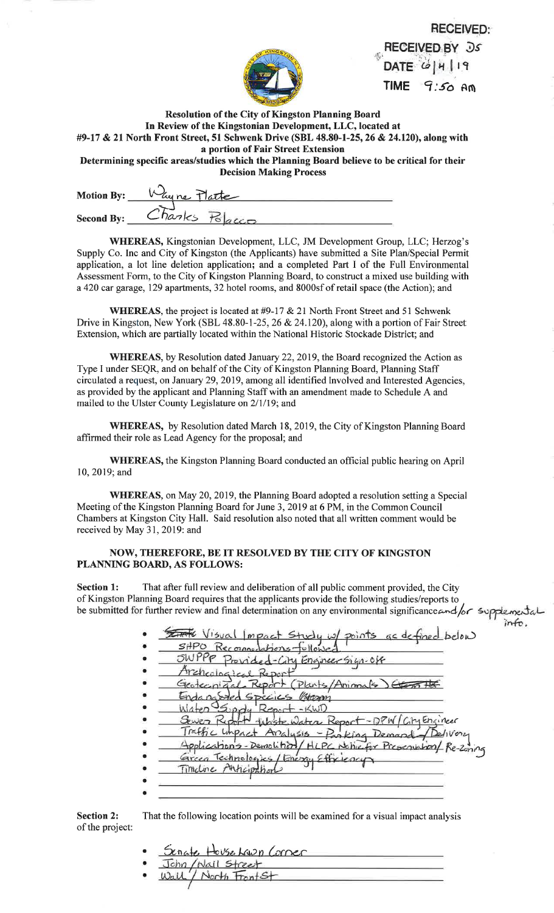| ψ |  |
|---|--|
|   |  |
|   |  |

**RECEIVED:** RECEIVED BY Ds DATE  $6|4|19$ TIME  $9:50$  Am

int

Resolution of the City of Kingston Planning BoardIn Review of the Kingstonian Development, LLC, located at #9-17 & 21 North Front Street, 51 Schwenk Drive (SBL 48.80-l-25,26 & 24.120), along witha portion of Fair Street Extension

 Determining specific areas/studies which the Planning Board believe to be critical for theirDecision Making Process

| <b>Motion By:</b> | Why ne Platte     |  |
|-------------------|-------------------|--|
| <b>Second By:</b> | $-Inanks$<br>tanc |  |

WHEREAS, Kingstonian Development, LLC, JM Development Group, LLC: Herzog's Supply Co. Inc and City of Kingston (the Applicants) have submitted a Site Plan/Special Permitapplication, a lot line deletion application; and a completed Part I of the Full Environmental Assessment Form, to the City of Kingston Planning Board, to construct a mixed use building witha 420 car garage, 129 apartments, 32 hotel rooms, and 8000sf of retail space (the Action); and

WHEREAS, the project is located at  $\#9-17 \& 21$  North Front Street and 51 Schwenk Drive in Kingston, New York (SBL 48.80-1-25, 26 & 24.120), along with a portion of Fair Street Extension, which are partially located within the National Historic Stockade District; and

WHEREAS, by Resolution dated January 22,2019, the Board recognized the Action asType I under SEQR, and on behalf of the City of Kingston Planning Board, Planning Staff circulated a request, on January 29,2019, among all identified Involved and Interested Agencies,as provided by the applicant and Planning Staff with an amendment made to Schedule A andmailed to the Ulster County Legislature on 2/1/19; and

WHEREAS, by Resolution dated March 18,2019, the City of Kingston Planning Boardaffirmed their role as Lead Agency for the proposal; and

WHEREAS, the Kingston Planning Board conducted an official public hearing on April 10,2019; and

WHEREAS, on May 20, 2019, the Planning Board adopted a resolution setting a Special Meeting of the Kingston Planning Board for June 3,2019 at 6 PM, in the Common Council Chambers at Kingston City Hall. Said resolution also noted that all written comment would bereceived by May 31,2019: and

## NOW, THEREFORE, BE IT RESOLVED BY THE CITY OF KINGSTON PLANNING BOARD, AS FOLLOWS:

Section 1: That after full review and deliberation of all public comment provided, the City of Kingston Planning Board requires that the applicants provide the following studies/reports to of Kingston Planning Board requires that the applicants provide the following studies/reports to<br>be submitted for further review and final determination on any environmental significance and for supplemental

| EFFE Visual Impact Study w/ points as defined below<br>SHPO Reconnections fullowed |
|------------------------------------------------------------------------------------|
| SWPPP Provided-City Engineer Sign-Off                                              |
| Archeological Report                                                               |
| Geotecniacl Report (Plants/Anima                                                   |
| dangoded Species Wear                                                              |
| aten Supry Report -KWI                                                             |
| Sewer Report thiste water Report-DPW City Engineer                                 |
| Traffic Impact Analysis - Parking Demand / Delivery                                |
| Applications-Demolition/HLPC Notive for Preservation/Re-Zoning                     |
| Green Technologies/Energy Efficiency                                               |
| Timeline Anticipations                                                             |
|                                                                                    |

Section 2:of the project: That the following location points will be examined for a visual impact analysis

> aaaSenate House Lawn Corner<br>John /Nail Street<br>Wall / North FrontSt